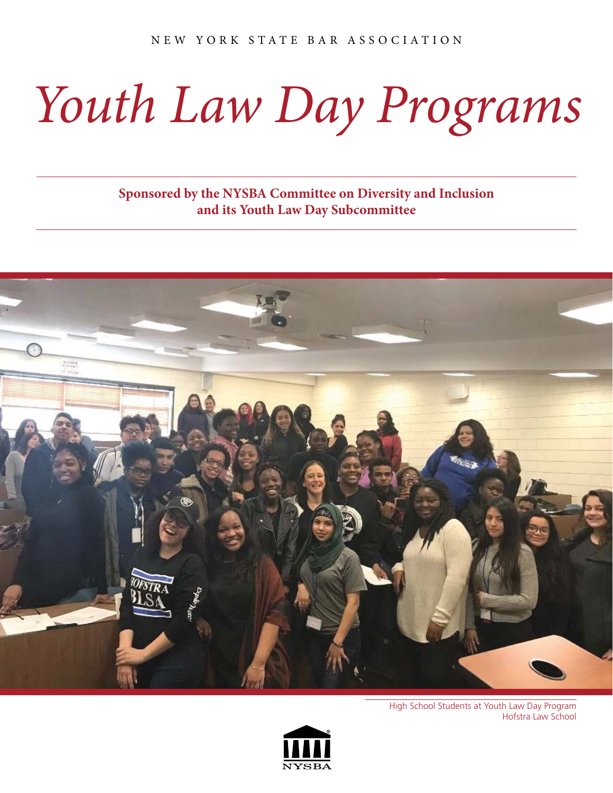## *Youth Law Day Programs*

**Sponsored by the NYSBA Committee on Diversity and Inclusion and its Youth Law Day Subcommittee**



High School Students at Youth Law Day Program Hofstra Law School

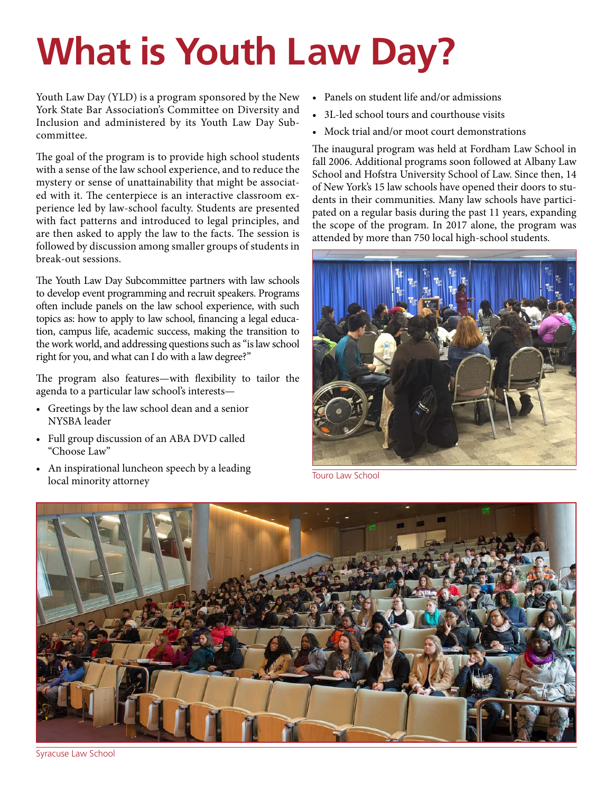## **What is Youth Law Day?**

Youth Law Day (YLD) is a program sponsored by the New York State Bar Association's Committee on Diversity and Inclusion and administered by its Youth Law Day Subcommittee.

The goal of the program is to provide high school students with a sense of the law school experience, and to reduce the mystery or sense of unattainability that might be associated with it. The centerpiece is an interactive classroom experience led by law-school faculty. Students are presented with fact patterns and introduced to legal principles, and are then asked to apply the law to the facts. The session is followed by discussion among smaller groups of students in break-out sessions.

The Youth Law Day Subcommittee partners with law schools to develop event programming and recruit speakers. Programs often include panels on the law school experience, with such topics as: how to apply to law school, financing a legal education, campus life, academic success, making the transition to the work world, and addressing questions such as "is law school right for you, and what can I do with a law degree?"

The program also features—with flexibility to tailor the agenda to a particular law school's interests—

- Greetings by the law school dean and a senior NYSBA leader
- Full group discussion of an ABA DVD called "Choose Law"
- An inspirational luncheon speech by a leading local minority attorney
- Panels on student life and/or admissions
- 3L-led school tours and courthouse visits
- Mock trial and/or moot court demonstrations

The inaugural program was held at Fordham Law School in fall 2006. Additional programs soon followed at Albany Law School and Hofstra University School of Law. Since then, 14 of New York's 15 law schools have opened their doors to students in their communities. Many law schools have participated on a regular basis during the past 11 years, expanding the scope of the program. In 2017 alone, the program was attended by more than 750 local high-school students.



Touro Law School



Syracuse Law School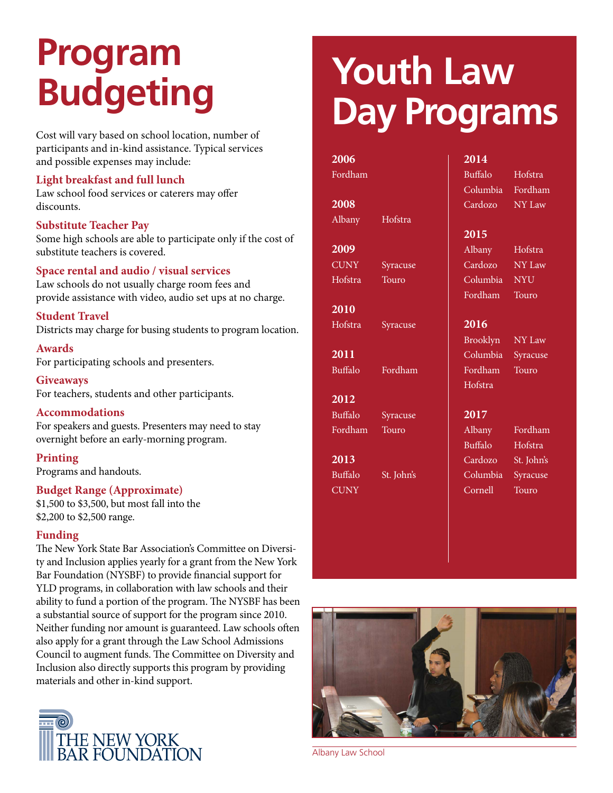# **Program**

Cost will vary based on school location, number of participants and in-kind assistance. Typical services and possible expenses may include:

#### **Light breakfast and full lunch**

Law school food services or caterers may offer discounts.

#### **Substitute Teacher Pay**

Some high schools are able to participate only if the cost of substitute teachers is covered.

#### **Space rental and audio / visual services**

Law schools do not usually charge room fees and provide assistance with video, audio set ups at no charge.

**Student Travel** Districts may charge for busing students to program location.

**Awards**  For participating schools and presenters.

**Giveaways** For teachers, students and other participants.

**Accommodations**  For speakers and guests. Presenters may need to stay overnight before an early-morning program.

**Printing**  Programs and handouts.

#### **Budget Range (Approximate)**

\$1,500 to \$3,500, but most fall into the \$2,200 to \$2,500 range.

#### **Funding**

The New York State Bar Association's Committee on Diversity and Inclusion applies yearly for a grant from the New York Bar Foundation (NYSBF) to provide financial support for YLD programs, in collaboration with law schools and their ability to fund a portion of the program. The NYSBF has been a substantial source of support for the program since 2010. Neither funding nor amount is guaranteed. Law schools often also apply for a grant through the Law School Admissions Council to augment funds. The Committee on Diversity and Inclusion also directly supports this program by providing materials and other in-kind support.



### **Budgeting Youth Law Day Programs**

#### **2006**

Fordham

#### **2008**

Albany Hofstra

#### **2009**

CUNY Syracuse Hofstra Touro

**2010** Hofstra Syracuse

**2011** Buffalo Fordham

#### **2012**

Buffalo Syracuse Fordham Touro

**2013** Buffalo St. John's **CUNY** 

#### **2014**

Buffalo Hofstra Columbia Fordham Cardozo NY Law

#### **2015**

Albany Hofstra Cardozo NY Law Columbia NYU Fordham Touro

#### **2016**

Brooklyn NY Law Columbia Syracuse Fordham Touro

#### **2017**

Hofstra

Albany Fordham Buffalo Hofstra Cardozo St. John's Columbia Syracuse Cornell Touro



Albany Law School